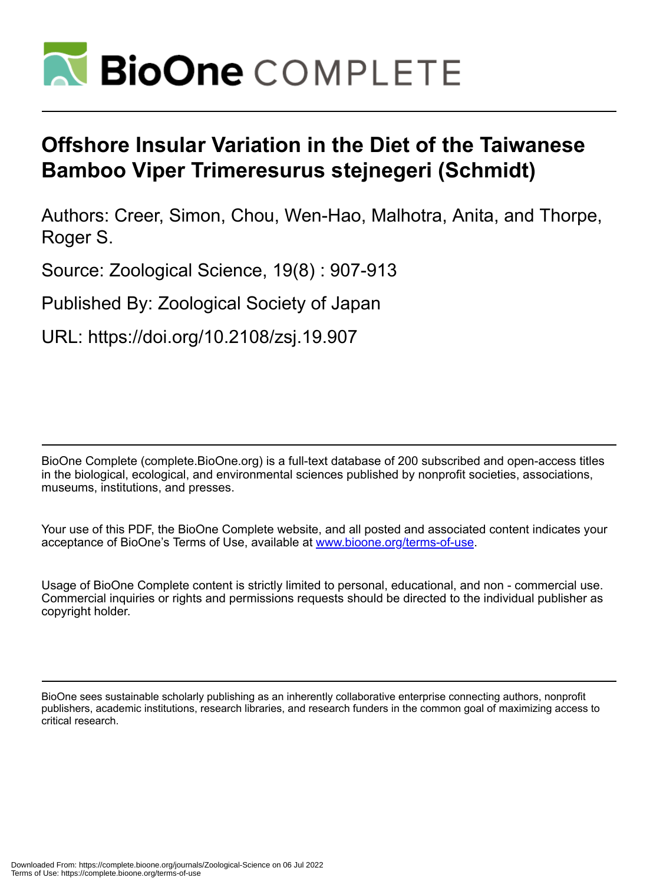

# **Offshore Insular Variation in the Diet of the Taiwanese Bamboo Viper Trimeresurus stejnegeri (Schmidt)**

Authors: Creer, Simon, Chou, Wen-Hao, Malhotra, Anita, and Thorpe, Roger S.

Source: Zoological Science, 19(8) : 907-913

Published By: Zoological Society of Japan

URL: https://doi.org/10.2108/zsj.19.907

BioOne Complete (complete.BioOne.org) is a full-text database of 200 subscribed and open-access titles in the biological, ecological, and environmental sciences published by nonprofit societies, associations, museums, institutions, and presses.

Your use of this PDF, the BioOne Complete website, and all posted and associated content indicates your acceptance of BioOne's Terms of Use, available at www.bioone.org/terms-of-use.

Usage of BioOne Complete content is strictly limited to personal, educational, and non - commercial use. Commercial inquiries or rights and permissions requests should be directed to the individual publisher as copyright holder.

BioOne sees sustainable scholarly publishing as an inherently collaborative enterprise connecting authors, nonprofit publishers, academic institutions, research libraries, and research funders in the common goal of maximizing access to critical research.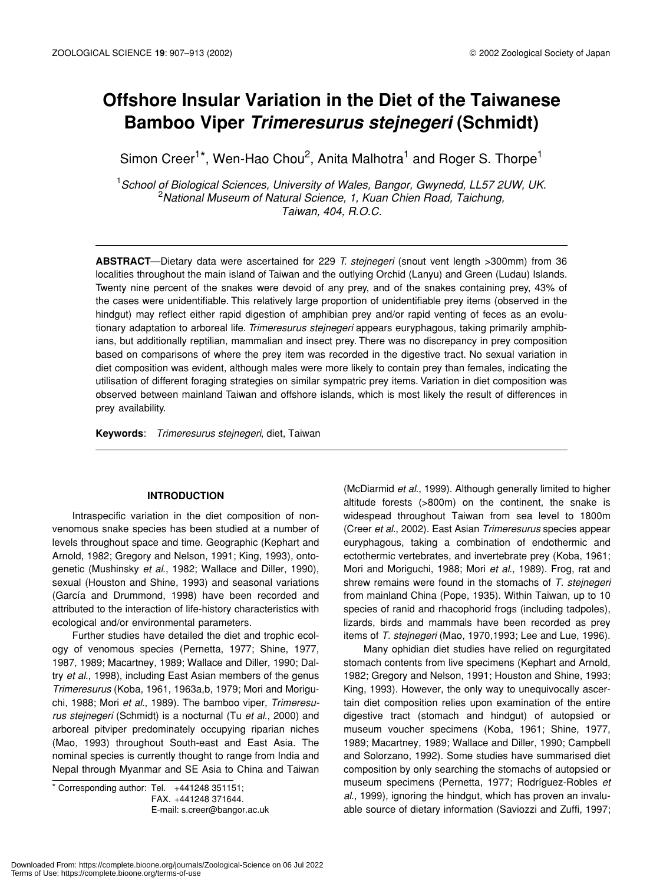# **Offshore Insular Variation in the Diet of the Taiwanese Bamboo Viper** *Trimeresurus stejnegeri* **(Schmidt)**

Simon Creer<sup>1\*</sup>, Wen-Hao Chou<sup>2</sup>, Anita Malhotra<sup>1</sup> and Roger S. Thorpe<sup>1</sup>

1 *School of Biological Sciences, University of Wales, Bangor, Gwynedd, LL57 2UW, UK.* 2 *National Museum of Natural Science, 1, Kuan Chien Road, Taichung, Taiwan, 404, R.O.C.*

**ABSTRACT**—Dietary data were ascertained for 229 *T. stejnegeri* (snout vent length >300mm) from 36 localities throughout the main island of Taiwan and the outlying Orchid (Lanyu) and Green (Ludau) Islands. Twenty nine percent of the snakes were devoid of any prey, and of the snakes containing prey, 43% of the cases were unidentifiable. This relatively large proportion of unidentifiable prey items (observed in the hindgut) may reflect either rapid digestion of amphibian prey and/or rapid venting of feces as an evolutionary adaptation to arboreal life. *Trimeresurus stejnegeri* appears euryphagous, taking primarily amphibians, but additionally reptilian, mammalian and insect prey. There was no discrepancy in prey composition based on comparisons of where the prey item was recorded in the digestive tract. No sexual variation in diet composition was evident, although males were more likely to contain prey than females, indicating the utilisation of different foraging strategies on similar sympatric prey items. Variation in diet composition was observed between mainland Taiwan and offshore islands, which is most likely the result of differences in prey availability.

**Keywords**: *Trimeresurus stejnegeri*, diet, Taiwan

# **INTRODUCTION**

Intraspecific variation in the diet composition of nonvenomous snake species has been studied at a number of levels throughout space and time. Geographic (Kephart and Arnold, 1982; Gregory and Nelson, 1991; King, 1993), ontogenetic (Mushinsky *et al*., 1982; Wallace and Diller, 1990), sexual (Houston and Shine, 1993) and seasonal variations (García and Drummond, 1998) have been recorded and attributed to the interaction of life-history characteristics with ecological and/or environmental parameters.

Further studies have detailed the diet and trophic ecology of venomous species (Pernetta, 1977; Shine, 1977, 1987, 1989; Macartney, 1989; Wallace and Diller, 1990; Daltry *et al*., 1998), including East Asian members of the genus *Trimeresurus* (Koba, 1961, 1963a,b, 1979; Mori and Moriguchi, 1988; Mori *et al*., 1989). The bamboo viper, *Trimeresurus stejnegeri* (Schmidt) is a nocturnal (Tu *et al*., 2000) and arboreal pitviper predominately occupying riparian niches (Mao, 1993) throughout South-east and East Asia. The nominal species is currently thought to range from India and Nepal through Myanmar and SE Asia to China and Taiwan

\* Corresponding author: Tel. +441248 351151; FAX. +441248 371644.

(McDiarmid *et al*., 1999). Although generally limited to higher altitude forests (>800m) on the continent, the snake is widespead throughout Taiwan from sea level to 1800m (Creer *et al*., 2002). East Asian *Trimeresurus* species appear euryphagous, taking a combination of endothermic and ectothermic vertebrates, and invertebrate prey (Koba, 1961; Mori and Moriguchi, 1988; Mori *et al*., 1989). Frog, rat and shrew remains were found in the stomachs of *T. stejnegeri* from mainland China (Pope, 1935). Within Taiwan, up to 10 species of ranid and rhacophorid frogs (including tadpoles), lizards, birds and mammals have been recorded as prey items of *T. stejnegeri* (Mao, 1970,1993; Lee and Lue, 1996).

Many ophidian diet studies have relied on regurgitated stomach contents from live specimens (Kephart and Arnold, 1982; Gregory and Nelson, 1991; Houston and Shine, 1993; King, 1993). However, the only way to unequivocally ascertain diet composition relies upon examination of the entire digestive tract (stomach and hindgut) of autopsied or museum voucher specimens (Koba, 1961; Shine, 1977, 1989; Macartney, 1989; Wallace and Diller, 1990; Campbell and Solorzano, 1992). Some studies have summarised diet composition by only searching the stomachs of autopsied or museum specimens (Pernetta, 1977; Rodríguez-Robles *et al*., 1999), ignoring the hindgut, which has proven an invaluable source of dietary information (Saviozzi and Zuffi, 1997;

E-mail: s.creer@bangor.ac.uk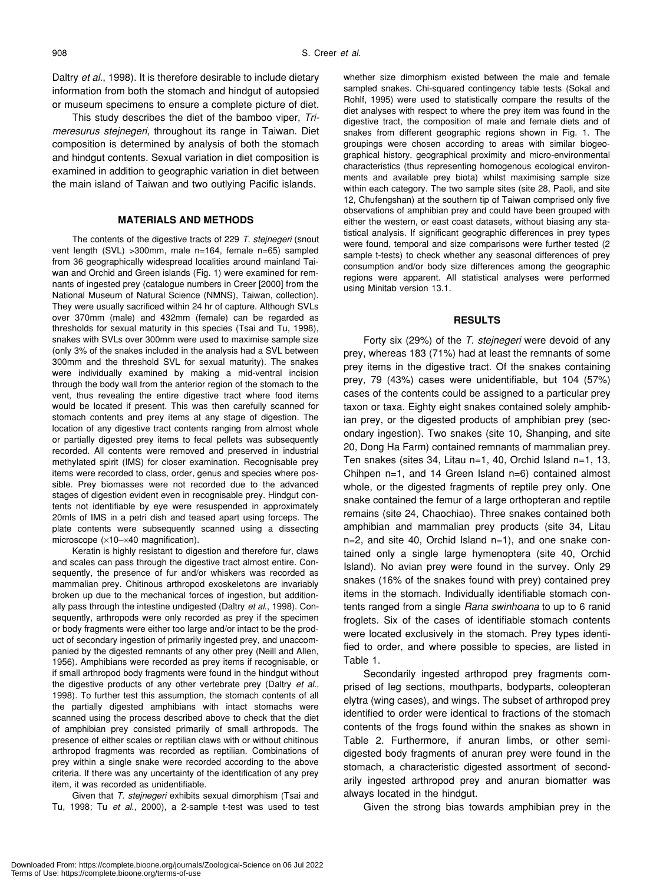Daltry *et al*., 1998). It is therefore desirable to include dietary information from both the stomach and hindgut of autopsied or museum specimens to ensure a complete picture of diet.

This study describes the diet of the bamboo viper, *Trimeresurus stejnegeri*, throughout its range in Taiwan. Diet composition is determined by analysis of both the stomach and hindgut contents. Sexual variation in diet composition is examined in addition to geographic variation in diet between the main island of Taiwan and two outlying Pacific islands.

# **MATERIALS AND METHODS**

The contents of the digestive tracts of 229 *T. stejnegeri* (snout vent length (SVL) >300mm, male n=164, female n=65) sampled from 36 geographically widespread localities around mainland Taiwan and Orchid and Green islands (Fig. 1) were examined for remnants of ingested prey (catalogue numbers in Creer [2000] from the National Museum of Natural Science (NMNS), Taiwan, collection). They were usually sacrificed within 24 hr of capture. Although SVLs over 370mm (male) and 432mm (female) can be regarded as thresholds for sexual maturity in this species (Tsai and Tu, 1998), snakes with SVLs over 300mm were used to maximise sample size (only 3% of the snakes included in the analysis had a SVL between 300mm and the threshold SVL for sexual maturity). The snakes were individually examined by making a mid-ventral incision through the body wall from the anterior region of the stomach to the vent, thus revealing the entire digestive tract where food items would be located if present. This was then carefully scanned for stomach contents and prey items at any stage of digestion. The location of any digestive tract contents ranging from almost whole or partially digested prey items to fecal pellets was subsequently recorded. All contents were removed and preserved in industrial methylated spirit (IMS) for closer examination. Recognisable prey items were recorded to class, order, genus and species where possible. Prey biomasses were not recorded due to the advanced stages of digestion evident even in recognisable prey. Hindgut contents not identifiable by eye were resuspended in approximately 20mls of IMS in a petri dish and teased apart using forceps. The plate contents were subsequently scanned using a dissecting microscope (×10–×40 magnification).

Keratin is highly resistant to digestion and therefore fur, claws and scales can pass through the digestive tract almost entire. Consequently, the presence of fur and/or whiskers was recorded as mammalian prey. Chitinous arthropod exoskeletons are invariably broken up due to the mechanical forces of ingestion, but additionally pass through the intestine undigested (Daltry *et al*., 1998). Consequently, arthropods were only recorded as prey if the specimen or body fragments were either too large and/or intact to be the product of secondary ingestion of primarily ingested prey, and unaccompanied by the digested remnants of any other prey (Neill and Allen, 1956). Amphibians were recorded as prey items if recognisable, or if small arthropod body fragments were found in the hindgut without the digestive products of any other vertebrate prey (Daltry *et al*., 1998). To further test this assumption, the stomach contents of all the partially digested amphibians with intact stomachs were scanned using the process described above to check that the diet of amphibian prey consisted primarily of small arthropods. The presence of either scales or reptilian claws with or without chitinous arthropod fragments was recorded as reptilian. Combinations of prey within a single snake were recorded according to the above criteria. If there was any uncertainty of the identification of any prey item, it was recorded as unidentifiable.

Given that *T. stejnegeri* exhibits sexual dimorphism (Tsai and Tu, 1998; Tu *et al*., 2000), a 2-sample t-test was used to test whether size dimorphism existed between the male and female sampled snakes. Chi-squared contingency table tests (Sokal and Rohlf, 1995) were used to statistically compare the results of the diet analyses with respect to where the prey item was found in the digestive tract, the composition of male and female diets and of snakes from different geographic regions shown in Fig. 1. The groupings were chosen according to areas with similar biogeographical history, geographical proximity and micro-environmental characteristics (thus representing homogenous ecological environments and available prey biota) whilst maximising sample size within each category. The two sample sites (site 28, Paoli, and site 12, Chufengshan) at the southern tip of Taiwan comprised only five observations of amphibian prey and could have been grouped with either the western, or east coast datasets, without biasing any statistical analysis. If significant geographic differences in prey types were found, temporal and size comparisons were further tested (2 sample t-tests) to check whether any seasonal differences of prey consumption and/or body size differences among the geographic regions were apparent. All statistical analyses were performed using Minitab version 13.1.

#### **RESULTS**

Forty six (29%) of the *T. stejnegeri* were devoid of any prey, whereas 183 (71%) had at least the remnants of some prey items in the digestive tract. Of the snakes containing prey, 79 (43%) cases were unidentifiable, but 104 (57%) cases of the contents could be assigned to a particular prey taxon or taxa. Eighty eight snakes contained solely amphibian prey, or the digested products of amphibian prey (secondary ingestion). Two snakes (site 10, Shanping, and site 20, Dong Ha Farm) contained remnants of mammalian prey. Ten snakes (sites 34, Litau n=1, 40, Orchid Island n=1, 13, Chihpen n=1, and 14 Green Island n=6) contained almost whole, or the digested fragments of reptile prey only. One snake contained the femur of a large orthopteran and reptile remains (site 24, Chaochiao). Three snakes contained both amphibian and mammalian prey products (site 34, Litau n=2, and site 40, Orchid Island n=1), and one snake contained only a single large hymenoptera (site 40, Orchid Island). No avian prey were found in the survey. Only 29 snakes (16% of the snakes found with prey) contained prey items in the stomach. Individually identifiable stomach contents ranged from a single *Rana swinhoana* to up to 6 ranid froglets. Six of the cases of identifiable stomach contents were located exclusively in the stomach. Prey types identified to order, and where possible to species, are listed in Table 1.

Secondarily ingested arthropod prey fragments comprised of leg sections, mouthparts, bodyparts, coleopteran elytra (wing cases), and wings. The subset of arthropod prey identified to order were identical to fractions of the stomach contents of the frogs found within the snakes as shown in Table 2. Furthermore, if anuran limbs, or other semidigested body fragments of anuran prey were found in the stomach, a characteristic digested assortment of secondarily ingested arthropod prey and anuran biomatter was always located in the hindgut.

Given the strong bias towards amphibian prey in the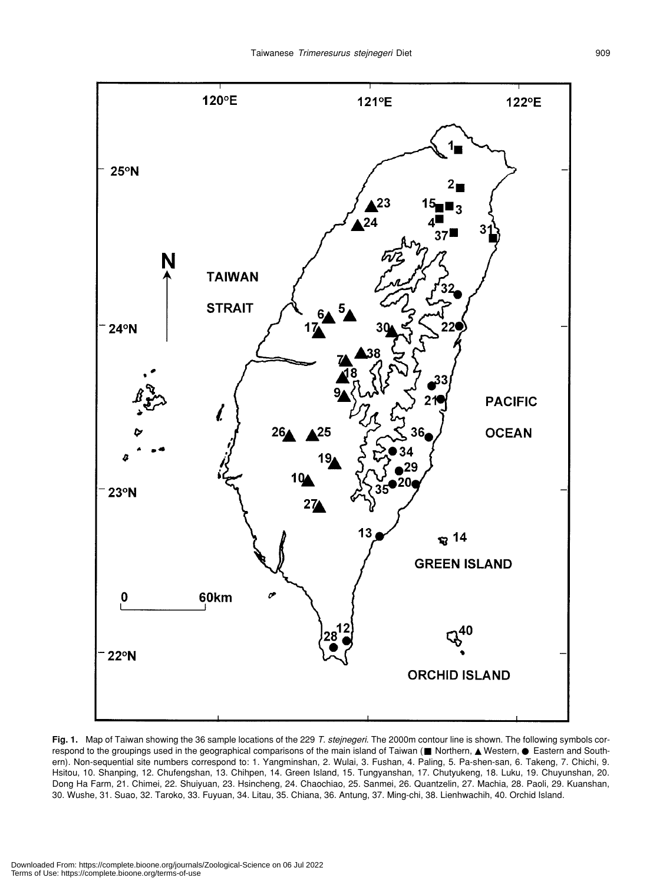

**Fig. 1.** Map of Taiwan showing the 36 sample locations of the 229 *T. stejnegeri*. The 2000m contour line is shown. The following symbols correspond to the groupings used in the geographical comparisons of the main island of Taiwan ( Northern, Western, Eastern and Southern). Non-sequential site numbers correspond to: 1. Yangminshan, 2. Wulai, 3. Fushan, 4. Paling, 5. Pa-shen-san, 6. Takeng, 7. Chichi, 9. Hsitou, 10. Shanping, 12. Chufengshan, 13. Chihpen, 14. Green Island, 15. Tungyanshan, 17. Chutyukeng, 18. Luku, 19. Chuyunshan, 20. Dong Ha Farm, 21. Chimei, 22. Shuiyuan, 23. Hsincheng, 24. Chaochiao, 25. Sanmei, 26. Quantzelin, 27. Machia, 28. Paoli, 29. Kuanshan, 30. Wushe, 31. Suao, 32. Taroko, 33. Fuyuan, 34. Litau, 35. Chiana, 36. Antung, 37. Ming-chi, 38. Lienhwachih, 40. Orchid Island.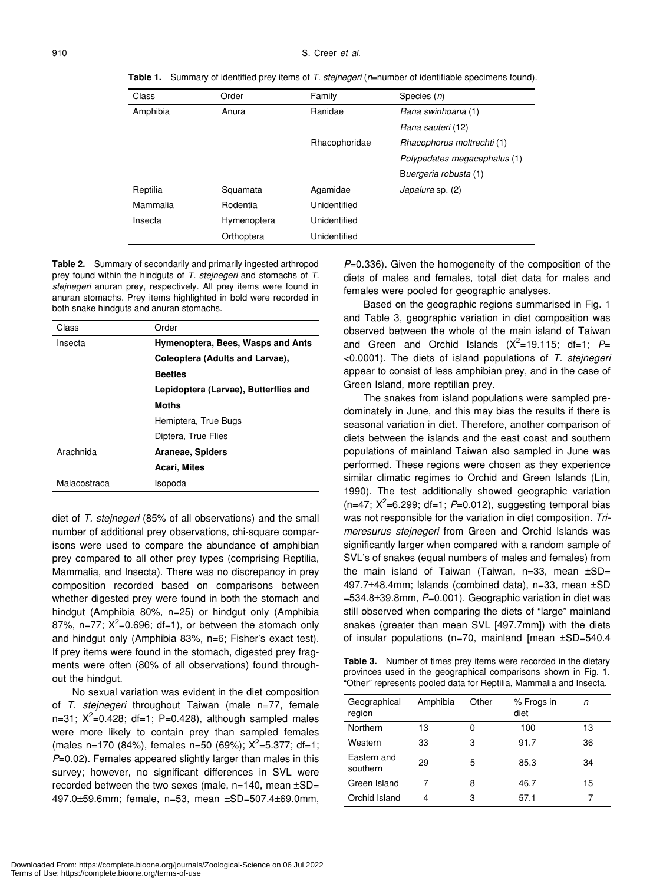**Table 1.** Summary of identified prey items of *T. stejnegeri* (*n*=number of identifiable specimens found).

| Order       | Family        | Species $(n)$                |  |
|-------------|---------------|------------------------------|--|
| Anura       | Ranidae       | Rana swinhoana (1)           |  |
|             |               | Rana sauteri (12)            |  |
|             | Rhacophoridae | Rhacophorus moltrechti (1)   |  |
|             |               | Polypedates megacephalus (1) |  |
|             |               | Buergeria robusta (1)        |  |
| Squamata    | Agamidae      | Japalura sp. (2)             |  |
| Rodentia    | Unidentified  |                              |  |
| Hymenoptera | Unidentified  |                              |  |
| Orthoptera  | Unidentified  |                              |  |
|             |               |                              |  |

**Table 2.** Summary of secondarily and primarily ingested arthropod prey found within the hindguts of *T. stejnegeri* and stomachs of *T. stejnegeri* anuran prey, respectively. All prey items were found in anuran stomachs. Prey items highlighted in bold were recorded in both snake hindguts and anuran stomachs.

| Class        | Order                                 |  |  |
|--------------|---------------------------------------|--|--|
| Insecta      | Hymenoptera, Bees, Wasps and Ants     |  |  |
|              | Coleoptera (Adults and Larvae),       |  |  |
|              | <b>Beetles</b>                        |  |  |
|              | Lepidoptera (Larvae), Butterflies and |  |  |
|              | <b>Moths</b>                          |  |  |
|              | Hemiptera, True Bugs                  |  |  |
|              | Diptera, True Flies                   |  |  |
| Arachnida    | Araneae, Spiders                      |  |  |
|              | Acari, Mites                          |  |  |
| Malacostraca | Isopoda                               |  |  |

diet of *T. stejnegeri* (85% of all observations) and the small number of additional prey observations, chi-square comparisons were used to compare the abundance of amphibian prey compared to all other prey types (comprising Reptilia, Mammalia, and Insecta). There was no discrepancy in prey composition recorded based on comparisons between whether digested prey were found in both the stomach and hindgut (Amphibia 80%, n=25) or hindgut only (Amphibia 87%, n=77;  $X^2$ =0.696; df=1), or between the stomach only and hindgut only (Amphibia 83%, n=6; Fisher's exact test). If prey items were found in the stomach, digested prey fragments were often (80% of all observations) found throughout the hindgut.

No sexual variation was evident in the diet composition of *T. stejnegeri* throughout Taiwan (male n=77, female n=31;  $X^2$ =0.428; df=1; P=0.428), although sampled males were more likely to contain prey than sampled females (males n=170 (84%), females n=50 (69%);  $X^2$ =5.377; df=1; *P*=0.02). Females appeared slightly larger than males in this survey; however, no significant differences in SVL were recorded between the two sexes (male,  $n=140$ , mean  $\pm SD=$ 497.0±59.6mm; female, n=53, mean ±SD=507.4±69.0mm,

*P*=0.336). Given the homogeneity of the composition of the diets of males and females, total diet data for males and females were pooled for geographic analyses.

Based on the geographic regions summarised in Fig. 1 and Table 3, geographic variation in diet composition was observed between the whole of the main island of Taiwan and Green and Orchid Islands  $(X^2=19.115; df=1; P=$ <0.0001). The diets of island populations of *T. stejnegeri* appear to consist of less amphibian prey, and in the case of Green Island, more reptilian prey.

The snakes from island populations were sampled predominately in June, and this may bias the results if there is seasonal variation in diet. Therefore, another comparison of diets between the islands and the east coast and southern populations of mainland Taiwan also sampled in June was performed. These regions were chosen as they experience similar climatic regimes to Orchid and Green Islands (Lin, 1990). The test additionally showed geographic variation  $(n=47; X^2=6.299; df=1; P=0.012)$ , suggesting temporal bias was not responsible for the variation in diet composition. *Trimeresurus stejnegeri* from Green and Orchid Islands was significantly larger when compared with a random sample of SVL's of snakes (equal numbers of males and females) from the main island of Taiwan (Taiwan,  $n=33$ , mean  $\pm SD=$ 497.7±48.4mm; Islands (combined data), n=33, mean ±SD =534.8±39.8mm, *P*=0.001). Geographic variation in diet was still observed when comparing the diets of "large" mainland snakes (greater than mean SVL [497.7mm]) with the diets of insular populations (n=70, mainland [mean ±SD=540.4

**Table 3.** Number of times prey items were recorded in the dietary provinces used in the geographical comparisons shown in Fig. 1. "Other" represents pooled data for Reptilia, Mammalia and Insecta.

| Geographical<br>region  | Amphibia | Other | % Frogs in<br>diet | n  |
|-------------------------|----------|-------|--------------------|----|
| Northern                | 13       | ი     | 100                | 13 |
| Western                 | 33       | 3     | 91.7               | 36 |
| Eastern and<br>southern | 29       | 5     | 85.3               | 34 |
| Green Island            | 7        | 8     | 46.7               | 15 |
| Orchid Island           | 4        | 3     | 57.1               |    |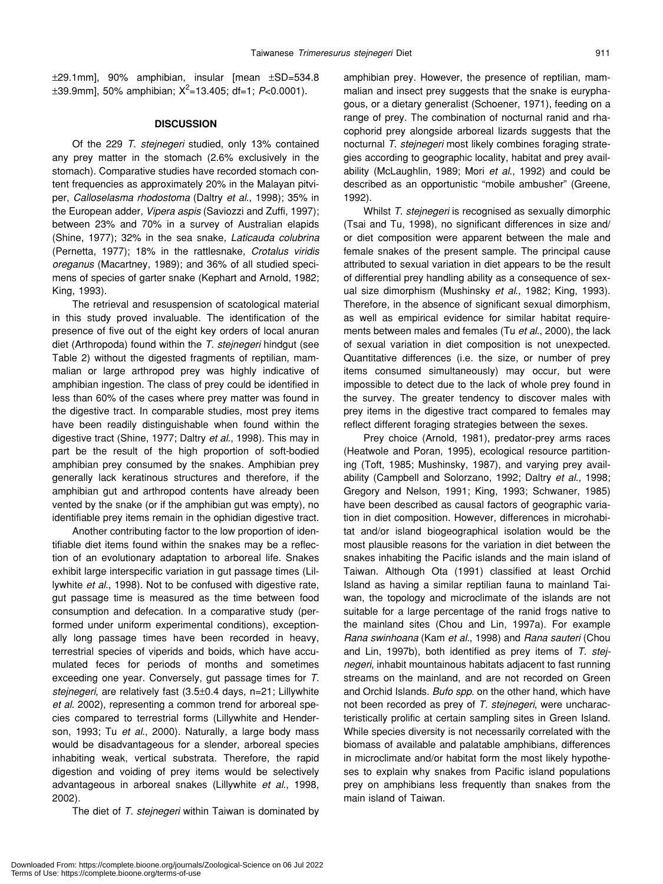±29.1mm], 90% amphibian, insular [mean ±SD=534.8 ±39.9mm], 50% amphibian; X2 =13.405; df=1; *P*<0.0001).

# **DISCUSSION**

Of the 229 *T. stejnegeri* studied, only 13% contained any prey matter in the stomach (2.6% exclusively in the stomach). Comparative studies have recorded stomach content frequencies as approximately 20% in the Malayan pitviper, *Calloselasma rhodostoma* (Daltry *et al*., 1998); 35% in the European adder, *Vipera aspis* (Saviozzi and Zuffi, 1997); between 23% and 70% in a survey of Australian elapids (Shine, 1977); 32% in the sea snake, *Laticauda colubrina* (Pernetta, 1977); 18% in the rattlesnake, *Crotalus viridis oreganus* (Macartney, 1989); and 36% of all studied specimens of species of garter snake (Kephart and Arnold, 1982; King, 1993).

The retrieval and resuspension of scatological material in this study proved invaluable. The identification of the presence of five out of the eight key orders of local anuran diet (Arthropoda) found within the *T. stejnegeri* hindgut (see Table 2) without the digested fragments of reptilian, mammalian or large arthropod prey was highly indicative of amphibian ingestion. The class of prey could be identified in less than 60% of the cases where prey matter was found in the digestive tract. In comparable studies, most prey items have been readily distinguishable when found within the digestive tract (Shine, 1977; Daltry *et al*., 1998). This may in part be the result of the high proportion of soft-bodied amphibian prey consumed by the snakes. Amphibian prey generally lack keratinous structures and therefore, if the amphibian gut and arthropod contents have already been vented by the snake (or if the amphibian gut was empty), no identifiable prey items remain in the ophidian digestive tract.

Another contributing factor to the low proportion of identifiable diet items found within the snakes may be a reflection of an evolutionary adaptation to arboreal life. Snakes exhibit large interspecific variation in gut passage times (Lillywhite *et al*., 1998). Not to be confused with digestive rate, gut passage time is measured as the time between food consumption and defecation. In a comparative study (performed under uniform experimental conditions), exceptionally long passage times have been recorded in heavy, terrestrial species of viperids and boids, which have accumulated feces for periods of months and sometimes exceeding one year. Conversely, gut passage times for *T. stejnegeri*, are relatively fast (3.5±0.4 days, n=21; Lillywhite *et al*. 2002), representing a common trend for arboreal species compared to terrestrial forms (Lillywhite and Henderson, 1993; Tu *et al*., 2000). Naturally, a large body mass would be disadvantageous for a slender, arboreal species inhabiting weak, vertical substrata. Therefore, the rapid digestion and voiding of prey items would be selectively advantageous in arboreal snakes (Lillywhite *et al*., 1998, 2002).

The diet of *T. stejnegeri* within Taiwan is dominated by

amphibian prey. However, the presence of reptilian, mammalian and insect prey suggests that the snake is euryphagous, or a dietary generalist (Schoener, 1971), feeding on a range of prey. The combination of nocturnal ranid and rhacophorid prey alongside arboreal lizards suggests that the nocturnal *T. stejnegeri* most likely combines foraging strategies according to geographic locality, habitat and prey availability (McLaughlin, 1989; Mori *et al*., 1992) and could be described as an opportunistic "mobile ambusher" (Greene, 1992).

Whilst *T. stejnegeri* is recognised as sexually dimorphic (Tsai and Tu, 1998), no significant differences in size and/ or diet composition were apparent between the male and female snakes of the present sample. The principal cause attributed to sexual variation in diet appears to be the result of differential prey handling ability as a consequence of sexual size dimorphism (Mushinsky *et al*., 1982; King, 1993). Therefore, in the absence of significant sexual dimorphism, as well as empirical evidence for similar habitat requirements between males and females (Tu *et al*., 2000), the lack of sexual variation in diet composition is not unexpected. Quantitative differences (i.e. the size, or number of prey items consumed simultaneously) may occur, but were impossible to detect due to the lack of whole prey found in the survey. The greater tendency to discover males with prey items in the digestive tract compared to females may reflect different foraging strategies between the sexes.

Prey choice (Arnold, 1981), predator-prey arms races (Heatwole and Poran, 1995), ecological resource partitioning (Toft, 1985; Mushinsky, 1987), and varying prey availability (Campbell and Solorzano, 1992; Daltry *et al*., 1998; Gregory and Nelson, 1991; King, 1993; Schwaner, 1985) have been described as causal factors of geographic variation in diet composition. However, differences in microhabitat and/or island biogeographical isolation would be the most plausible reasons for the variation in diet between the snakes inhabiting the Pacific islands and the main island of Taiwan. Although Ota (1991) classified at least Orchid Island as having a similar reptilian fauna to mainland Taiwan, the topology and microclimate of the islands are not suitable for a large percentage of the ranid frogs native to the mainland sites (Chou and Lin, 1997a). For example *Rana swinhoana* (Kam *et al*., 1998) and *Rana sauteri* (Chou and Lin, 1997b), both identified as prey items of *T. stejnegeri*, inhabit mountainous habitats adjacent to fast running streams on the mainland, and are not recorded on Green and Orchid Islands. *Bufo spp*. on the other hand, which have not been recorded as prey of *T. stejnegeri*, were uncharacteristically prolific at certain sampling sites in Green Island. While species diversity is not necessarily correlated with the biomass of available and palatable amphibians, differences in microclimate and/or habitat form the most likely hypotheses to explain why snakes from Pacific island populations prey on amphibians less frequently than snakes from the main island of Taiwan.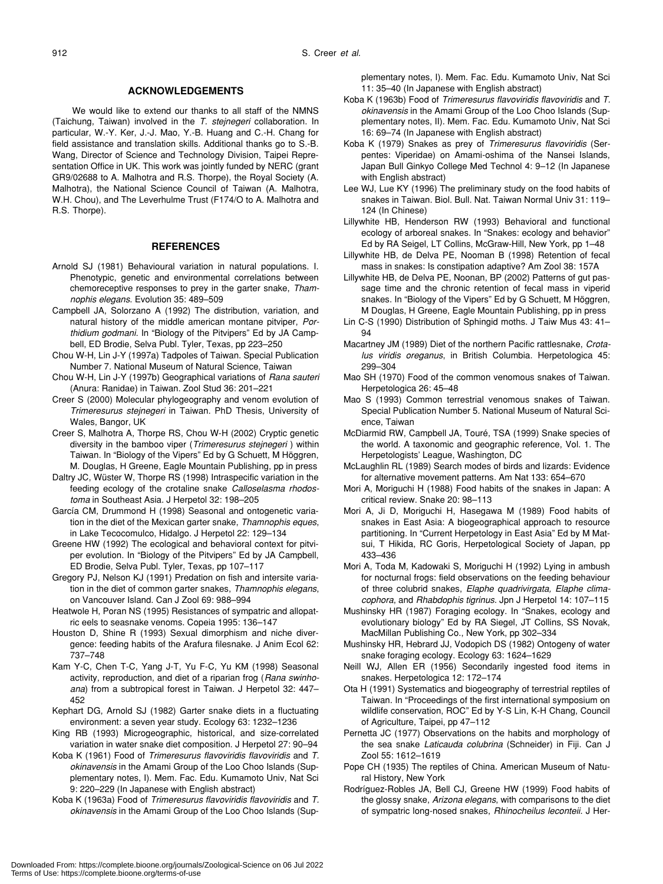#### **ACKNOWLEDGEMENTS**

We would like to extend our thanks to all staff of the NMNS (Taichung, Taiwan) involved in the *T. stejnegeri* collaboration. In particular, W.-Y. Ker, J.-J. Mao, Y.-B. Huang and C.-H. Chang for field assistance and translation skills. Additional thanks go to S.-B. Wang, Director of Science and Technology Division, Taipei Representation Office in UK. This work was jointly funded by NERC (grant GR9/02688 to A. Malhotra and R.S. Thorpe), the Royal Society (A. Malhotra), the National Science Council of Taiwan (A. Malhotra, W.H. Chou), and The Leverhulme Trust (F174/O to A. Malhotra and R.S. Thorpe).

### **REFERENCES**

- Arnold SJ (1981) Behavioural variation in natural populations. I. Phenotypic, genetic and environmental correlations between chemoreceptive responses to prey in the garter snake, *Thamnophis elegans*. Evolution 35: 489–509
- Campbell JA, Solorzano A (1992) The distribution, variation, and natural history of the middle american montane pitviper, *Porthidium godmani*. In "Biology of the Pitvipers" Ed by JA Campbell, ED Brodie, Selva Publ. Tyler, Texas, pp 223–250
- Chou W-H, Lin J-Y (1997a) Tadpoles of Taiwan. Special Publication Number 7. National Museum of Natural Science, Taiwan
- Chou W-H, Lin J-Y (1997b) Geographical variations of *Rana sauteri* (Anura: Ranidae) in Taiwan. Zool Stud 36: 201–221
- Creer S (2000) Molecular phylogeography and venom evolution of *Trimeresurus stejnegeri* in Taiwan. PhD Thesis, University of Wales, Bangor, UK
- Creer S, Malhotra A, Thorpe RS, Chou W-H (2002) Cryptic genetic diversity in the bamboo viper (*Trimeresurus stejnegeri* ) within Taiwan. In "Biology of the Vipers" Ed by G Schuett, M Höggren, M. Douglas, H Greene, Eagle Mountain Publishing, pp in press
- Daltry JC, Wüster W, Thorpe RS (1998) Intraspecific variation in the feeding ecology of the crotaline snake *Calloselasma rhodostoma* in Southeast Asia. J Herpetol 32: 198–205
- García CM, Drummond H (1998) Seasonal and ontogenetic variation in the diet of the Mexican garter snake, *Thamnophis eques*, in Lake Tecocomulco, Hidalgo. J Herpetol 22: 129–134
- Greene HW (1992) The ecological and behavioral context for pitviper evolution. In "Biology of the Pitvipers" Ed by JA Campbell, ED Brodie, Selva Publ. Tyler, Texas, pp 107–117
- Gregory PJ, Nelson KJ (1991) Predation on fish and intersite variation in the diet of common garter snakes, *Thamnophis elegans*, on Vancouver Island. Can J Zool 69: 988–994
- Heatwole H, Poran NS (1995) Resistances of sympatric and allopatric eels to seasnake venoms. Copeia 1995: 136–147
- Houston D, Shine R (1993) Sexual dimorphism and niche divergence: feeding habits of the Arafura filesnake. J Anim Ecol 62: 737–748
- Kam Y-C, Chen T-C, Yang J-T, Yu F-C, Yu KM (1998) Seasonal activity, reproduction, and diet of a riparian frog (*Rana swinhoana*) from a subtropical forest in Taiwan. J Herpetol 32: 447– 452
- Kephart DG, Arnold SJ (1982) Garter snake diets in a fluctuating environment: a seven year study. Ecology 63: 1232–1236
- King RB (1993) Microgeographic, historical, and size-correlated variation in water snake diet composition. J Herpetol 27: 90–94
- Koba K (1961) Food of *Trimeresurus flavoviridis flavoviridis* and *T. okinavensis* in the Amami Group of the Loo Choo Islands (Supplementary notes, I). Mem. Fac. Edu. Kumamoto Univ, Nat Sci 9: 220–229 (In Japanese with English abstract)
- Koba K (1963a) Food of *Trimeresurus flavoviridis flavoviridis* and *T. okinavensis* in the Amami Group of the Loo Choo Islands (Sup-

plementary notes, I). Mem. Fac. Edu. Kumamoto Univ, Nat Sci 11: 35–40 (In Japanese with English abstract)

- Koba K (1963b) Food of *Trimeresurus flavoviridis flavoviridis* and *T. okinavensis* in the Amami Group of the Loo Choo Islands (Supplementary notes, II). Mem. Fac. Edu. Kumamoto Univ, Nat Sci 16: 69–74 (In Japanese with English abstract)
- Koba K (1979) Snakes as prey of *Trimeresurus flavoviridis* (Serpentes: Viperidae) on Amami-oshima of the Nansei Islands, Japan Bull Ginkyo College Med Technol 4: 9–12 (In Japanese with English abstract)
- Lee WJ, Lue KY (1996) The preliminary study on the food habits of snakes in Taiwan. Biol. Bull. Nat. Taiwan Normal Univ 31: 119– 124 (In Chinese)
- Lillywhite HB, Henderson RW (1993) Behavioral and functional ecology of arboreal snakes. In "Snakes: ecology and behavior" Ed by RA Seigel, LT Collins, McGraw-Hill, New York, pp 1–48
- Lillywhite HB, de Delva PE, Nooman B (1998) Retention of fecal mass in snakes: Is constipation adaptive? Am Zool 38: 157A
- Lillywhite HB, de Delva PE, Noonan, BP (2002) Patterns of gut passage time and the chronic retention of fecal mass in viperid snakes. In "Biology of the Vipers" Ed by G Schuett, M Höggren, M Douglas, H Greene, Eagle Mountain Publishing, pp in press
- Lin C-S (1990) Distribution of Sphingid moths. J Taiw Mus 43: 41– 94
- Macartney JM (1989) Diet of the northern Pacific rattlesnake, *Crotalus viridis oreganus*, in British Columbia. Herpetologica 45: 299–304
- Mao SH (1970) Food of the common venomous snakes of Taiwan. Herpetologica 26: 45–48
- Mao S (1993) Common terrestrial venomous snakes of Taiwan. Special Publication Number 5. National Museum of Natural Science, Taiwan
- McDiarmid RW, Campbell JA, Touré, TSA (1999) Snake species of the world. A taxonomic and geographic reference, Vol. 1. The Herpetologists' League, Washington, DC
- McLaughlin RL (1989) Search modes of birds and lizards: Evidence for alternative movement patterns. Am Nat 133: 654–670
- Mori A, Moriguchi H (1988) Food habits of the snakes in Japan: A critical review. Snake 20: 98–113
- Mori A, Ji D, Moriguchi H, Hasegawa M (1989) Food habits of snakes in East Asia: A biogeographical approach to resource partitioning. In "Current Herpetology in East Asia" Ed by M Matsui, T Hikida, RC Goris, Herpetological Society of Japan, pp 433–436
- Mori A, Toda M, Kadowaki S, Moriguchi H (1992) Lying in ambush for nocturnal frogs: field observations on the feeding behaviour of three colubrid snakes, *Elaphe quadrivirgata, Elaphe climacophora*, and *Rhabdophis tigrinus*. Jpn J Herpetol 14: 107–115
- Mushinsky HR (1987) Foraging ecology. In "Snakes, ecology and evolutionary biology" Ed by RA Siegel, JT Collins, SS Novak, MacMillan Publishing Co., New York, pp 302–334
- Mushinsky HR, Hebrard JJ, Vodopich DS (1982) Ontogeny of water snake foraging ecology. Ecology 63: 1624–1629
- Neill WJ, Allen ER (1956) Secondarily ingested food items in snakes. Herpetologica 12: 172–174
- Ota H (1991) Systematics and biogeography of terrestrial reptiles of Taiwan. In "Proceedings of the first international symposium on wildlife conservation, ROC" Ed by Y-S Lin, K-H Chang, Council of Agriculture, Taipei, pp 47–112
- Pernetta JC (1977) Observations on the habits and morphology of the sea snake *Laticauda colubrina* (Schneider) in Fiji. Can J Zool 55: 1612–1619
- Pope CH (1935) The reptiles of China. American Museum of Natural History, New York
- Rodríguez-Robles JA, Bell CJ, Greene HW (1999) Food habits of the glossy snake, *Arizona elegans*, with comparisons to the diet of sympatric long-nosed snakes, *Rhinocheilus leconteii*. J Her-